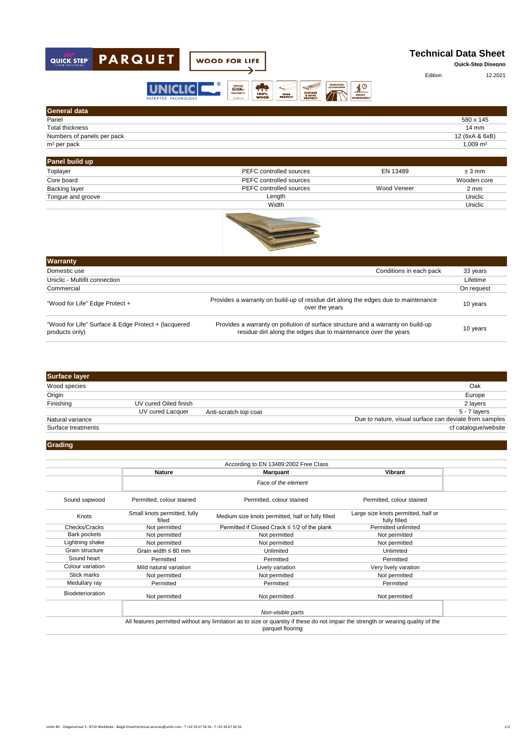

| General data               |                     |
|----------------------------|---------------------|
| Panel                      | 580 x 145           |
| Total thickness            | $14 \text{ mm}$     |
| Numbers of panels per pack | 12 (6xA & 6xB)      |
| m <sup>2</sup> per pack    | $1,009 \text{ m}^2$ |
|                            |                     |

| Panel build up    |                         |             |                |
|-------------------|-------------------------|-------------|----------------|
| Toplayer          | PEFC controlled sources | EN 13489    | $±3$ mm        |
| Core board        | PEFC controlled sources |             | Wooden core    |
| Backing layer     | PEFC controlled sources | Wood Veneer | $2 \text{ mm}$ |
| Tongue and groove | Length                  |             | Uniclic        |
|                   | Width                   |             | Uniclic        |



| <b>Warranty</b>                                                       |                                                                                                                                                    |            |
|-----------------------------------------------------------------------|----------------------------------------------------------------------------------------------------------------------------------------------------|------------|
| Domestic use                                                          | Conditions in each pack                                                                                                                            | 33 years   |
| Uniclic - Multifit connection                                         |                                                                                                                                                    | Lifetime   |
| Commercial                                                            |                                                                                                                                                    | On request |
| "Wood for Life" Edge Protect +                                        | Provides a warranty on build-up of residue dirt along the edges due to maintenance<br>over the years                                               | 10 years   |
| "Wood for Life" Surface & Edge Protect + (lacquered<br>products only) | Provides a warranty on pollution of surface structure and a warranty on build-up<br>residue dirt along the edges due to maintenance over the years | 10 years   |

| <b>Surface layer</b> |                       |                       |                                                        |
|----------------------|-----------------------|-----------------------|--------------------------------------------------------|
| Wood species         |                       |                       | Oak                                                    |
| Origin               |                       |                       | Europe                                                 |
| Finishing            | UV cured Oiled finish |                       | 2 layers                                               |
|                      | UV cured Lacquer      | Anti-scratch top coat | 5 - 7 layers                                           |
| Natural variance     |                       |                       | Due to nature, visual surface can deviate from samples |
| Surface treatments   |                       |                       | cf catalogue/website                                   |
|                      |                       |                       |                                                        |

## **Grading**

|                  |                                        | According to EN 13489:2002 Free Class                                                                                                                  |                                                     |  |
|------------------|----------------------------------------|--------------------------------------------------------------------------------------------------------------------------------------------------------|-----------------------------------------------------|--|
|                  | <b>Nature</b>                          | <b>Marquant</b>                                                                                                                                        | Vibrant                                             |  |
|                  |                                        | Face of the element                                                                                                                                    |                                                     |  |
| Sound sapwood    | Permitted, colour stained              | Permitted, colour stained                                                                                                                              | Permitted, colour stained                           |  |
| Knots            | Small knots permitted, fully<br>filled | Medium size knots permitted, half or fully filled                                                                                                      | Large size knots permitted, half or<br>fully filled |  |
| Checks/Cracks    | Not permitted                          | Permitted if Closed Crack ≤ 1/2 of the plank                                                                                                           | Permitted unlimited                                 |  |
| Bark pockets     | Not permitted                          | Not permitted                                                                                                                                          | Not permitted                                       |  |
| Lightning shake  | Not permitted                          | Not permitted                                                                                                                                          | Not permitted                                       |  |
| Grain structure  | Grain width $\leq 80$ mm               | Unlimited                                                                                                                                              | Unlimited                                           |  |
| Sound heart      | Permitted                              | Permitted                                                                                                                                              | Permitted                                           |  |
| Colour variation | Mild natural variation                 | Lively variation                                                                                                                                       | Very lively varation                                |  |
| Stick marks      | Not permitted                          | Not permitted                                                                                                                                          | Not permitted                                       |  |
| Medullary ray    | Permitted                              | Permitted                                                                                                                                              | Permitted                                           |  |
| Biodeterioration | Not permitted                          | Not permitted                                                                                                                                          | Not permitted                                       |  |
|                  |                                        | Non-visible parts                                                                                                                                      |                                                     |  |
|                  |                                        | All features permitted without any limitation as to size or quantity if these do not impair the strength or wearing quality of the<br>parquet flooring |                                                     |  |